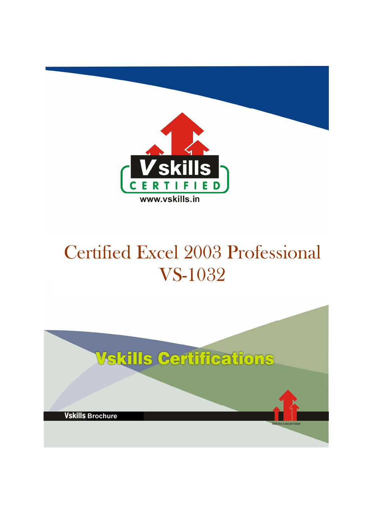

# Certified Excel 2003 Professional VS-1032

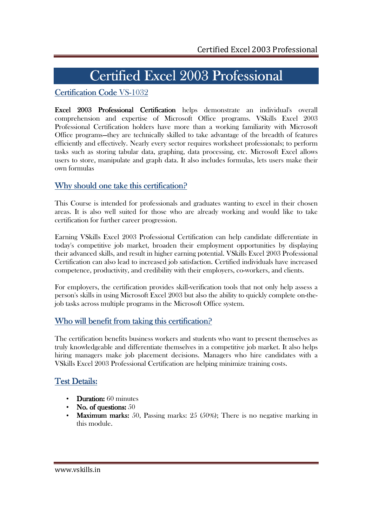# Certified Excel 2003 Professional

# Certification Code VS-1032

Excel 2003 Professional Certification helps demonstrate an individual's overall comprehension and expertise of Microsoft Office programs. VSkills Excel 2003 Professional Certification holders have more than a working familiarity with Microsoft Office programs—they are technically skilled to take advantage of the breadth of features efficiently and effectively. Nearly every sector requires worksheet professionals; to perform tasks such as storing tabular data, graphing, data processing, etc. Microsoft Excel allows users to store, manipulate and graph data. It also includes formulas, lets users make their own formulas

# Why should one take this certification?

This Course is intended for professionals and graduates wanting to excel in their chosen areas. It is also well suited for those who are already working and would like to take certification for further career progression.

Earning VSkills Excel 2003 Professional Certification can help candidate differentiate in today's competitive job market, broaden their employment opportunities by displaying their advanced skills, and result in higher earning potential. VSkills Excel 2003 Professional Certification can also lead to increased job satisfaction. Certified individuals have increased competence, productivity, and credibility with their employers, co-workers, and clients.

For employers, the certification provides skill-verification tools that not only help assess a person's skills in using Microsoft Excel 2003 but also the ability to quickly complete on-thejob tasks across multiple programs in the Microsoft Office system.

# Who will benefit from taking this certification?

The certification benefits business workers and students who want to present themselves as truly knowledgeable and differentiate themselves in a competitive job market. It also helps hiring managers make job placement decisions. Managers who hire candidates with a VSkills Excel 2003 Professional Certification are helping minimize training costs.

# **Test Details:**

- **Duration:** 60 minutes
- No. of questions:  $50$
- Maximum marks: 50, Passing marks:  $25(50\%)$ ; There is no negative marking in this module.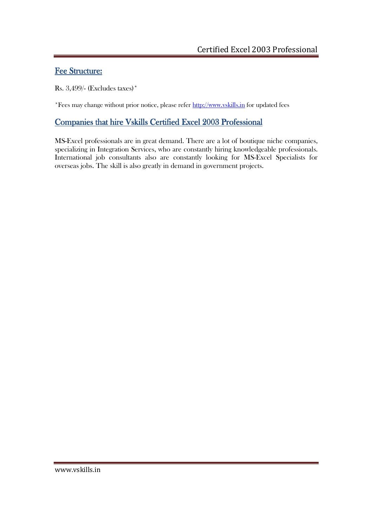# Fee Structure:

Rs. 3,499/- (Excludes taxes)\*

\*Fees may change without prior notice, please refer http://www.vskills.in for updated fees

# Companies that hire Vskills Certified Excel 2003 Professional

MS-Excel professionals are in great demand. There are a lot of boutique niche companies, specializing in Integration Services, who are constantly hiring knowledgeable professionals. International job consultants also are constantly looking for MS-Excel Specialists for overseas jobs. The skill is also greatly in demand in government projects.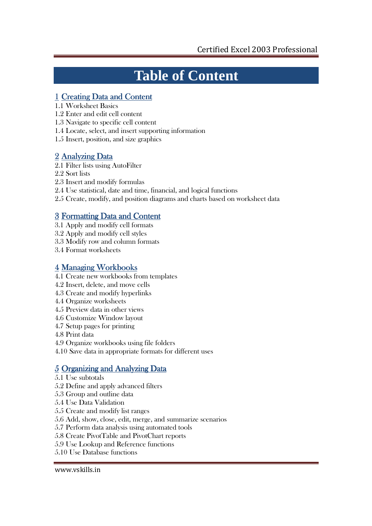# **Table of Content**

# 1 Creating Data and Content

- 1.1 Worksheet Basics
- 1.2 Enter and edit cell content
- 1.3 Navigate to specific cell content
- 1.4 Locate, select, and insert supporting information
- 1.5 Insert, position, and size graphics

# 2 Analyzing Data

- 2.1 Filter lists using AutoFilter
- 2.2 Sort lists
- 2.3 Insert and modify formulas
- 2.4 Use statistical, date and time, financial, and logical functions
- 2.5 Create, modify, and position diagrams and charts based on worksheet data

# 3 Formatting Data and Content

- 3.1 Apply and modify cell formats
- 3.2 Apply and modify cell styles
- 3.3 Modify row and column formats
- 3.4 Format worksheets

# 4 Managing Workbooks

- 4.1 Create new workbooks from templates
- 4.2 Insert, delete, and move cells
- 4.3 Create and modify hyperlinks
- 4.4 Organize worksheets
- 4.5 Preview data in other views
- 4.6 Customize Window layout
- 4.7 Setup pages for printing
- 4.8 Print data
- 4.9 Organize workbooks using file folders
- 4.10 Save data in appropriate formats for different uses

# 5 Organizing and Analyzing Data

- 5.1 Use subtotals
- 5.2 Define and apply advanced filters
- 5.3 Group and outline data
- 5.4 Use Data Validation
- 5.5 Create and modify list ranges
- 5.6 Add, show, close, edit, merge, and summarize scenarios
- 5.7 Perform data analysis using automated tools
- 5.8 Create PivotTable and PivotChart reports
- 5.9 Use Lookup and Reference functions
- 5.10 Use Database functions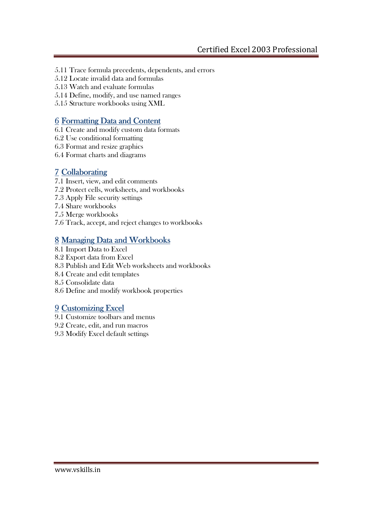- 5.11 Trace formula precedents, dependents, and errors
- 5.12 Locate invalid data and formulas
- 5.13 Watch and evaluate formulas
- 5.14 Define, modify, and use named ranges
- 5.15 Structure workbooks using XML

# 6 Formatting Data and Content

- 6.1 Create and modify custom data formats
- 6.2 Use conditional formatting
- 6.3 Format and resize graphics
- 6.4 Format charts and diagrams

# 7 Collaborating

- 7.1 Insert, view, and edit comments
- 7.2 Protect cells, worksheets, and workbooks
- 7.3 Apply File security settings
- 7.4 Share workbooks
- 7.5 Merge workbooks
- 7.6 Track, accept, and reject changes to workbooks

# 8 Managing Data and Workbooks

- 8.1 Import Data to Excel
- 8.2 Export data from Excel
- 8.3 Publish and Edit Web worksheets and workbooks
- 8.4 Create and edit templates
- 8.5 Consolidate data
- 8.6 Define and modify workbook properties

# 9 Customizing Excel

- 9.1 Customize toolbars and menus
- 9.2 Create, edit, and run macros
- 9.3 Modify Excel default settings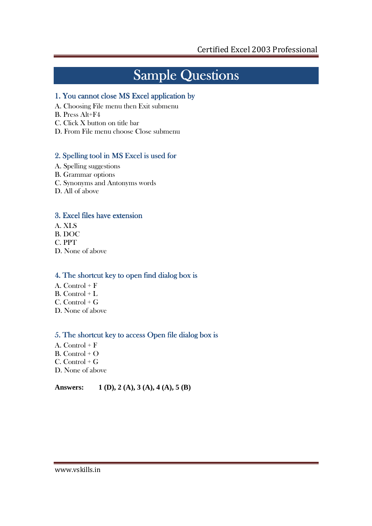# Sample Questions

# 1. You cannot close MS Excel application by

- A. Choosing File menu then Exit submenu
- B. Press Alt+F4
- C. Click X button on title bar
- D. From File menu choose Close submenu

# 2. Spelling tool in MS Excel is used for

- A. Spelling suggestions
- B. Grammar options
- C. Synonyms and Antonyms words
- D. All of above

# 3. Excel files have extension

- A. XLS
- B. DOC
- C. PPT
- D. None of above

## 4. The shortcut key to open find dialog box is

- A. Control  $+ F$
- B. Control + L
- $C.$  Control +  $G$
- D. None of above

## 5. The shortcut key to access Open file dialog box is

- A. Control + F B. Control + O C. Control + G
- D. None of above

## **Answers: 1 (D), 2 (A), 3 (A), 4 (A), 5 (B)**